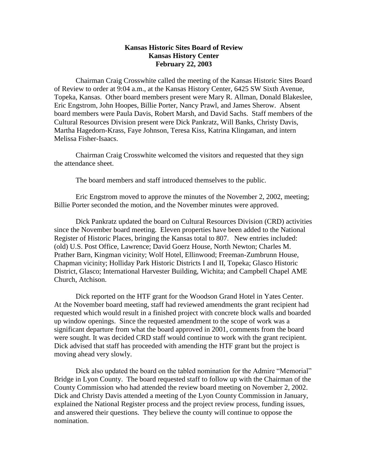## **Kansas Historic Sites Board of Review Kansas History Center February 22, 2003**

Chairman Craig Crosswhite called the meeting of the Kansas Historic Sites Board of Review to order at 9:04 a.m., at the Kansas History Center, 6425 SW Sixth Avenue, Topeka, Kansas. Other board members present were Mary R. Allman, Donald Blakeslee, Eric Engstrom, John Hoopes, Billie Porter, Nancy Prawl, and James Sherow. Absent board members were Paula Davis, Robert Marsh, and David Sachs. Staff members of the Cultural Resources Division present were Dick Pankratz, Will Banks, Christy Davis, Martha Hagedorn-Krass, Faye Johnson, Teresa Kiss, Katrina Klingaman, and intern Melissa Fisher-Isaacs.

Chairman Craig Crosswhite welcomed the visitors and requested that they sign the attendance sheet.

The board members and staff introduced themselves to the public.

Eric Engstrom moved to approve the minutes of the November 2, 2002, meeting; Billie Porter seconded the motion, and the November minutes were approved.

Dick Pankratz updated the board on Cultural Resources Division (CRD) activities since the November board meeting. Eleven properties have been added to the National Register of Historic Places, bringing the Kansas total to 807. New entries included: (old) U.S. Post Office, Lawrence; David Goerz House, North Newton; Charles M. Prather Barn, Kingman vicinity; Wolf Hotel, Ellinwood; Freeman-Zumbrunn House, Chapman vicinity; Holliday Park Historic Districts I and II, Topeka; Glasco Historic District, Glasco; International Harvester Building, Wichita; and Campbell Chapel AME Church, Atchison.

Dick reported on the HTF grant for the Woodson Grand Hotel in Yates Center. At the November board meeting, staff had reviewed amendments the grant recipient had requested which would result in a finished project with concrete block walls and boarded up window openings. Since the requested amendment to the scope of work was a significant departure from what the board approved in 2001, comments from the board were sought. It was decided CRD staff would continue to work with the grant recipient. Dick advised that staff has proceeded with amending the HTF grant but the project is moving ahead very slowly.

Dick also updated the board on the tabled nomination for the Admire "Memorial" Bridge in Lyon County. The board requested staff to follow up with the Chairman of the County Commission who had attended the review board meeting on November 2, 2002. Dick and Christy Davis attended a meeting of the Lyon County Commission in January, explained the National Register process and the project review process, funding issues, and answered their questions. They believe the county will continue to oppose the nomination.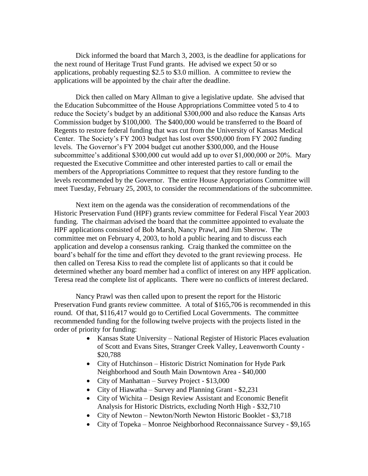Dick informed the board that March 3, 2003, is the deadline for applications for the next round of Heritage Trust Fund grants. He advised we expect 50 or so applications, probably requesting \$2.5 to \$3.0 million. A committee to review the applications will be appointed by the chair after the deadline.

Dick then called on Mary Allman to give a legislative update. She advised that the Education Subcommittee of the House Appropriations Committee voted 5 to 4 to reduce the Society's budget by an additional \$300,000 and also reduce the Kansas Arts Commission budget by \$100,000. The \$400,000 would be transferred to the Board of Regents to restore federal funding that was cut from the University of Kansas Medical Center. The Society's FY 2003 budget has lost over \$500,000 from FY 2002 funding levels. The Governor's FY 2004 budget cut another \$300,000, and the House subcommittee's additional \$300,000 cut would add up to over \$1,000,000 or 20%. Mary requested the Executive Committee and other interested parties to call or email the members of the Appropriations Committee to request that they restore funding to the levels recommended by the Governor. The entire House Appropriations Committee will meet Tuesday, February 25, 2003, to consider the recommendations of the subcommittee.

Next item on the agenda was the consideration of recommendations of the Historic Preservation Fund (HPF) grants review committee for Federal Fiscal Year 2003 funding. The chairman advised the board that the committee appointed to evaluate the HPF applications consisted of Bob Marsh, Nancy Prawl, and Jim Sherow. The committee met on February 4, 2003, to hold a public hearing and to discuss each application and develop a consensus ranking. Craig thanked the committee on the board's behalf for the time and effort they devoted to the grant reviewing process. He then called on Teresa Kiss to read the complete list of applicants so that it could be determined whether any board member had a conflict of interest on any HPF application. Teresa read the complete list of applicants. There were no conflicts of interest declared.

Nancy Prawl was then called upon to present the report for the Historic Preservation Fund grants review committee. A total of \$165,706 is recommended in this round. Of that, \$116,417 would go to Certified Local Governments. The committee recommended funding for the following twelve projects with the projects listed in the order of priority for funding:

- Kansas State University National Register of Historic Places evaluation of Scott and Evans Sites, Stranger Creek Valley, Leavenworth County - \$20,788
- City of Hutchinson Historic District Nomination for Hyde Park Neighborhood and South Main Downtown Area - \$40,000
- City of Manhattan Survey Project \$13,000
- City of Hiawatha Survey and Planning Grant \$2,231
- City of Wichita Design Review Assistant and Economic Benefit Analysis for Historic Districts, excluding North High - \$32,710
- City of Newton Newton/North Newton Historic Booklet \$3,718
- City of Topeka Monroe Neighborhood Reconnaissance Survey \$9,165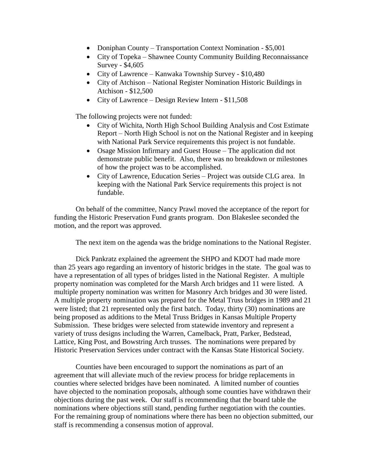- Doniphan County Transportation Context Nomination \$5,001
- City of Topeka Shawnee County Community Building Reconnaissance Survey - \$4,605
- City of Lawrence Kanwaka Township Survey \$10,480
- City of Atchison National Register Nomination Historic Buildings in Atchison - \$12,500
- City of Lawrence Design Review Intern \$11,508

The following projects were not funded:

- City of Wichita, North High School Building Analysis and Cost Estimate Report – North High School is not on the National Register and in keeping with National Park Service requirements this project is not fundable.
- Osage Mission Infirmary and Guest House The application did not demonstrate public benefit. Also, there was no breakdown or milestones of how the project was to be accomplished.
- City of Lawrence, Education Series Project was outside CLG area. In keeping with the National Park Service requirements this project is not fundable.

On behalf of the committee, Nancy Prawl moved the acceptance of the report for funding the Historic Preservation Fund grants program. Don Blakeslee seconded the motion, and the report was approved.

The next item on the agenda was the bridge nominations to the National Register.

Dick Pankratz explained the agreement the SHPO and KDOT had made more than 25 years ago regarding an inventory of historic bridges in the state. The goal was to have a representation of all types of bridges listed in the National Register. A multiple property nomination was completed for the Marsh Arch bridges and 11 were listed. A multiple property nomination was written for Masonry Arch bridges and 30 were listed. A multiple property nomination was prepared for the Metal Truss bridges in 1989 and 21 were listed; that 21 represented only the first batch. Today, thirty (30) nominations are being proposed as additions to the Metal Truss Bridges in Kansas Multiple Property Submission. These bridges were selected from statewide inventory and represent a variety of truss designs including the Warren, Camelback, Pratt, Parker, Bedstead, Lattice, King Post, and Bowstring Arch trusses. The nominations were prepared by Historic Preservation Services under contract with the Kansas State Historical Society.

Counties have been encouraged to support the nominations as part of an agreement that will alleviate much of the review process for bridge replacements in counties where selected bridges have been nominated. A limited number of counties have objected to the nomination proposals, although some counties have withdrawn their objections during the past week. Our staff is recommending that the board table the nominations where objections still stand, pending further negotiation with the counties. For the remaining group of nominations where there has been no objection submitted, our staff is recommending a consensus motion of approval.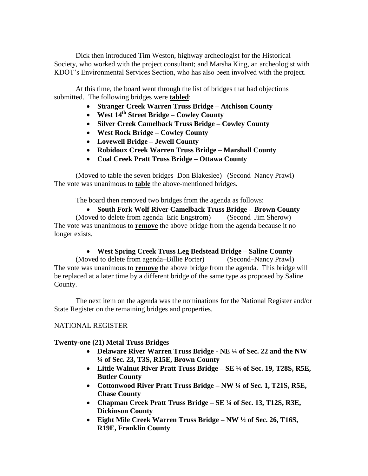Dick then introduced Tim Weston, highway archeologist for the Historical Society, who worked with the project consultant; and Marsha King, an archeologist with KDOT's Environmental Services Section, who has also been involved with the project.

At this time, the board went through the list of bridges that had objections submitted. The following bridges were **tabled**:

- **Stranger Creek Warren Truss Bridge – Atchison County**
- **West 14th Street Bridge – Cowley County**
- **Silver Creek Camelback Truss Bridge – Cowley County**
- **West Rock Bridge – Cowley County**
- **Lovewell Bridge – Jewell County**
- **Robidoux Creek Warren Truss Bridge – Marshall County**
- **Coal Creek Pratt Truss Bridge – Ottawa County**

(Moved to table the seven bridges–Don Blakeslee) (Second–Nancy Prawl) The vote was unanimous to **table** the above-mentioned bridges.

The board then removed two bridges from the agenda as follows:

 **South Fork Wolf River Camelback Truss Bridge – Brown County** (Moved to delete from agenda–Eric Engstrom) (Second–Jim Sherow) The vote was unanimous to **remove** the above bridge from the agenda because it no longer exists.

# **West Spring Creek Truss Leg Bedstead Bridge – Saline County**

(Moved to delete from agenda–Billie Porter) (Second–Nancy Prawl) The vote was unanimous to **remove** the above bridge from the agenda. This bridge will be replaced at a later time by a different bridge of the same type as proposed by Saline County.

The next item on the agenda was the nominations for the National Register and/or State Register on the remaining bridges and properties.

# NATIONAL REGISTER

# **Twenty-one (21) Metal Truss Bridges**

- **Delaware River Warren Truss Bridge - NE ¼ of Sec. 22 and the NW ¼ of Sec. 23, T3S, R15E, Brown County**
- **Little Walnut River Pratt Truss Bridge – SE ¼ of Sec. 19, T28S, R5E, Butler County**
- **Cottonwood River Pratt Truss Bridge – NW ¼ of Sec. 1, T21S, R5E, Chase County**
- **Chapman Creek Pratt Truss Bridge – SE ¼ of Sec. 13, T12S, R3E, Dickinson County**
- **Eight Mile Creek Warren Truss Bridge – NW ½ of Sec. 26, T16S, R19E, Franklin County**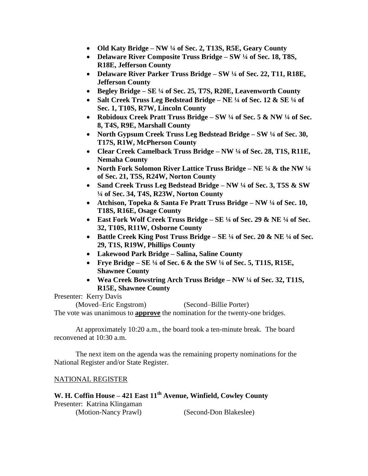- **Old Katy Bridge – NW ¼ of Sec. 2, T13S, R5E, Geary County**
- **Delaware River Composite Truss Bridge – SW ¼ of Sec. 18, T8S, R18E, Jefferson County**
- **Delaware River Parker Truss Bridge – SW ¼ of Sec. 22, T11, R18E, Jefferson County**
- **Begley Bridge – SE ¼ of Sec. 25, T7S, R20E, Leavenworth County**
- **Salt Creek Truss Leg Bedstead Bridge – NE ¼ of Sec. 12 & SE ¼ of Sec. 1, T10S, R7W, Lincoln County**
- **Robidoux Creek Pratt Truss Bridge – SW ¼ of Sec. 5 & NW ¼ of Sec. 8, T4S, R9E, Marshall County**
- **North Gypsum Creek Truss Leg Bedstead Bridge – SW ¼ of Sec. 30, T17S, R1W, McPherson County**
- **Clear Creek Camelback Truss Bridge – NW ¼ of Sec. 28, T1S, R11E, Nemaha County**
- **North Fork Solomon River Lattice Truss Bridge – NE ¼ & the NW ¼ of Sec. 21, T5S, R24W, Norton County**
- **Sand Creek Truss Leg Bedstead Bridge – NW ¼ of Sec. 3, T5S & SW ¼ of Sec. 34, T4S, R23W, Norton County**
- **Atchison, Topeka & Santa Fe Pratt Truss Bridge – NW ¼ of Sec. 10, T18S, R16E, Osage County**
- **East Fork Wolf Creek Truss Bridge – SE ¼ of Sec. 29 & NE ¼ of Sec. 32, T10S, R11W, Osborne County**
- **Battle Creek King Post Truss Bridge – SE ¼ of Sec. 20 & NE ¼ of Sec. 29, T1S, R19W, Phillips County**
- **Lakewood Park Bridge – Salina, Saline County**
- **Frye Bridge – SE ¼ of Sec. 6 & the SW ¼ of Sec. 5, T11S, R15E, Shawnee County**
- **Wea Creek Bowstring Arch Truss Bridge – NW ¼ of Sec. 32, T11S, R15E, Shawnee County**

Presenter: Kerry Davis

(Moved–Eric Engstrom) (Second–Billie Porter) The vote was unanimous to **approve** the nomination for the twenty-one bridges.

At approximately 10:20 a.m., the board took a ten-minute break. The board reconvened at 10:30 a.m.

The next item on the agenda was the remaining property nominations for the National Register and/or State Register.

# NATIONAL REGISTER

# **W. H. Coffin House – 421 East 11th Avenue, Winfield, Cowley County** Presenter: Katrina Klingaman

(Motion-Nancy Prawl) (Second-Don Blakeslee)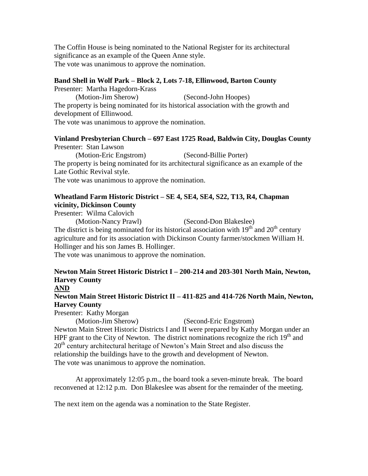The Coffin House is being nominated to the National Register for its architectural significance as an example of the Queen Anne style. The vote was unanimous to approve the nomination.

## **Band Shell in Wolf Park – Block 2, Lots 7-18, Ellinwood, Barton County**

Presenter: Martha Hagedorn-Krass

(Motion-Jim Sherow) (Second-John Hoopes) The property is being nominated for its historical association with the growth and development of Ellinwood.

The vote was unanimous to approve the nomination.

# **Vinland Presbyterian Church – 697 East 1725 Road, Baldwin City, Douglas County** Presenter: Stan Lawson

(Motion-Eric Engstrom) (Second-Billie Porter) The property is being nominated for its architectural significance as an example of the Late Gothic Revival style. The vote was unanimous to approve the nomination.

# **Wheatland Farm Historic District – SE 4, SE4, SE4, S22, T13, R4, Chapman vicinity, Dickinson County**

Presenter: Wilma Calovich

(Motion-Nancy Prawl) (Second-Don Blakeslee) The district is being nominated for its historical association with  $19<sup>th</sup>$  and  $20<sup>th</sup>$  century agriculture and for its association with Dickinson County farmer/stockmen William H. Hollinger and his son James B. Hollinger.

The vote was unanimous to approve the nomination.

# **Newton Main Street Historic District I – 200-214 and 203-301 North Main, Newton, Harvey County**

# **AND**

# **Newton Main Street Historic District II – 411-825 and 414-726 North Main, Newton, Harvey County**

Presenter: Kathy Morgan

(Motion-Jim Sherow) (Second-Eric Engstrom) Newton Main Street Historic Districts I and II were prepared by Kathy Morgan under an HPF grant to the City of Newton. The district nominations recognize the rich  $19<sup>th</sup>$  and 20<sup>th</sup> century architectural heritage of Newton's Main Street and also discuss the relationship the buildings have to the growth and development of Newton. The vote was unanimous to approve the nomination.

At approximately 12:05 p.m., the board took a seven-minute break. The board reconvened at 12:12 p.m. Don Blakeslee was absent for the remainder of the meeting.

The next item on the agenda was a nomination to the State Register.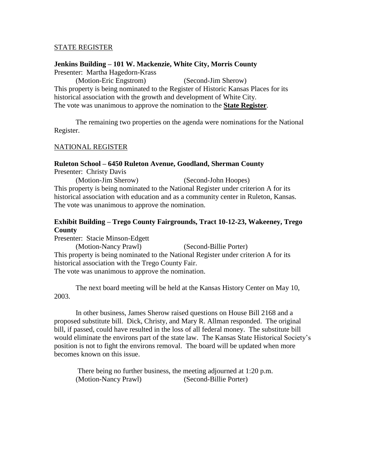### STATE REGISTER

### **Jenkins Building – 101 W. Mackenzie, White City, Morris County**

Presenter: Martha Hagedorn-Krass

(Motion-Eric Engstrom) (Second-Jim Sherow) This property is being nominated to the Register of Historic Kansas Places for its historical association with the growth and development of White City. The vote was unanimous to approve the nomination to the **State Register**.

The remaining two properties on the agenda were nominations for the National Register.

## NATIONAL REGISTER

### **Ruleton School – 6450 Ruleton Avenue, Goodland, Sherman County**

Presenter: Christy Davis

(Motion-Jim Sherow) (Second-John Hoopes) This property is being nominated to the National Register under criterion A for its historical association with education and as a community center in Ruleton, Kansas. The vote was unanimous to approve the nomination.

# **Exhibit Building – Trego County Fairgrounds, Tract 10-12-23, Wakeeney, Trego County**

Presenter: Stacie Minson-Edgett (Motion-Nancy Prawl) (Second-Billie Porter) This property is being nominated to the National Register under criterion A for its historical association with the Trego County Fair. The vote was unanimous to approve the nomination.

The next board meeting will be held at the Kansas History Center on May 10, 2003.

In other business, James Sherow raised questions on House Bill 2168 and a proposed substitute bill. Dick, Christy, and Mary R. Allman responded. The original bill, if passed, could have resulted in the loss of all federal money. The substitute bill would eliminate the environs part of the state law. The Kansas State Historical Society's position is not to fight the environs removal. The board will be updated when more becomes known on this issue.

There being no further business, the meeting adjourned at 1:20 p.m. (Motion-Nancy Prawl) (Second-Billie Porter)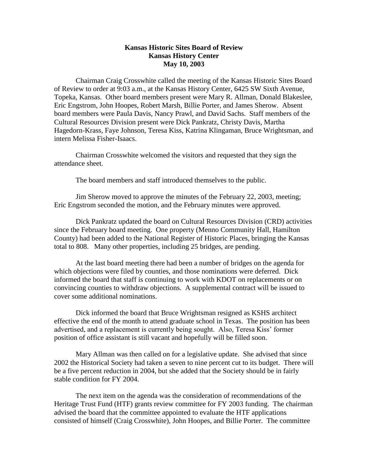## **Kansas Historic Sites Board of Review Kansas History Center May 10, 2003**

Chairman Craig Crosswhite called the meeting of the Kansas Historic Sites Board of Review to order at 9:03 a.m., at the Kansas History Center, 6425 SW Sixth Avenue, Topeka, Kansas. Other board members present were Mary R. Allman, Donald Blakeslee, Eric Engstrom, John Hoopes, Robert Marsh, Billie Porter, and James Sherow. Absent board members were Paula Davis, Nancy Prawl, and David Sachs. Staff members of the Cultural Resources Division present were Dick Pankratz, Christy Davis, Martha Hagedorn-Krass, Faye Johnson, Teresa Kiss, Katrina Klingaman, Bruce Wrightsman, and intern Melissa Fisher-Isaacs.

Chairman Crosswhite welcomed the visitors and requested that they sign the attendance sheet.

The board members and staff introduced themselves to the public.

Jim Sherow moved to approve the minutes of the February 22, 2003, meeting; Eric Engstrom seconded the motion, and the February minutes were approved.

Dick Pankratz updated the board on Cultural Resources Division (CRD) activities since the February board meeting. One property (Menno Community Hall, Hamilton County) had been added to the National Register of Historic Places, bringing the Kansas total to 808. Many other properties, including 25 bridges, are pending.

At the last board meeting there had been a number of bridges on the agenda for which objections were filed by counties, and those nominations were deferred. Dick informed the board that staff is continuing to work with KDOT on replacements or on convincing counties to withdraw objections. A supplemental contract will be issued to cover some additional nominations.

Dick informed the board that Bruce Wrightsman resigned as KSHS architect effective the end of the month to attend graduate school in Texas. The position has been advertised, and a replacement is currently being sought. Also, Teresa Kiss' former position of office assistant is still vacant and hopefully will be filled soon.

Mary Allman was then called on for a legislative update. She advised that since 2002 the Historical Society had taken a seven to nine percent cut to its budget. There will be a five percent reduction in 2004, but she added that the Society should be in fairly stable condition for FY 2004.

The next item on the agenda was the consideration of recommendations of the Heritage Trust Fund (HTF) grants review committee for FY 2003 funding. The chairman advised the board that the committee appointed to evaluate the HTF applications consisted of himself (Craig Crosswhite), John Hoopes, and Billie Porter. The committee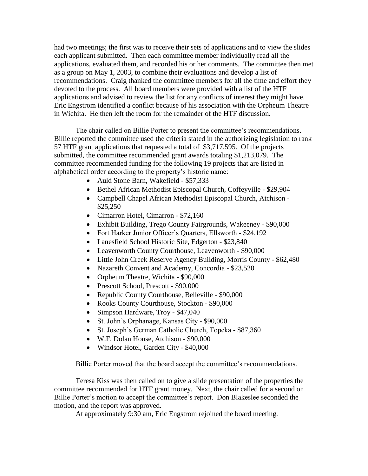had two meetings; the first was to receive their sets of applications and to view the slides each applicant submitted. Then each committee member individually read all the applications, evaluated them, and recorded his or her comments. The committee then met as a group on May 1, 2003, to combine their evaluations and develop a list of recommendations. Craig thanked the committee members for all the time and effort they devoted to the process. All board members were provided with a list of the HTF applications and advised to review the list for any conflicts of interest they might have. Eric Engstrom identified a conflict because of his association with the Orpheum Theatre in Wichita. He then left the room for the remainder of the HTF discussion.

The chair called on Billie Porter to present the committee's recommendations. Billie reported the committee used the criteria stated in the authorizing legislation to rank 57 HTF grant applications that requested a total of \$3,717,595. Of the projects submitted, the committee recommended grant awards totaling \$1,213,079. The committee recommended funding for the following 19 projects that are listed in alphabetical order according to the property's historic name:

- Auld Stone Barn, Wakefield \$57,333
- Bethel African Methodist Episcopal Church, Coffeyville \$29,904
- Campbell Chapel African Methodist Episcopal Church, Atchison \$25,250
- Cimarron Hotel, Cimarron \$72,160
- Exhibit Building, Trego County Fairgrounds, Wakeeney \$90,000
- Fort Harker Junior Officer's Quarters, Ellsworth \$24,192
- Lanesfield School Historic Site, Edgerton \$23,840
- Leavenworth County Courthouse, Leavenworth \$90,000
- Little John Creek Reserve Agency Building, Morris County \$62,480
- Nazareth Convent and Academy, Concordia \$23,520
- Orpheum Theatre, Wichita \$90,000
- Prescott School, Prescott \$90,000
- Republic County Courthouse, Belleville \$90,000
- Rooks County Courthouse, Stockton \$90,000
- Simpson Hardware, Troy \$47,040
- St. John's Orphanage, Kansas City \$90,000
- St. Joseph's German Catholic Church, Topeka \$87,360
- W.F. Dolan House, Atchison \$90,000
- Windsor Hotel, Garden City \$40,000

Billie Porter moved that the board accept the committee's recommendations.

Teresa Kiss was then called on to give a slide presentation of the properties the committee recommended for HTF grant money. Next, the chair called for a second on Billie Porter's motion to accept the committee's report. Don Blakeslee seconded the motion, and the report was approved.

At approximately 9:30 am, Eric Engstrom rejoined the board meeting.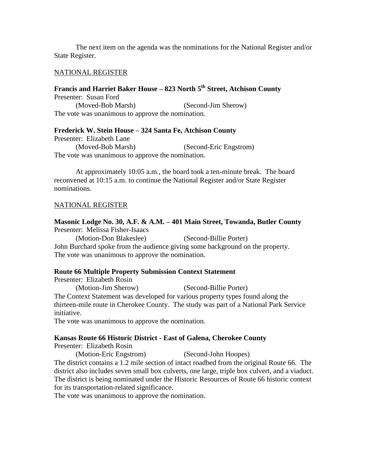The next item on the agenda was the nominations for the National Register and/or State Register.

### NATIONAL REGISTER

## **Francis and Harriet Baker House – 823 North 5th Street, Atchison County** Presenter: Susan Ford

(Moved-Bob Marsh) (Second-Jim Sherow) The vote was unanimous to approve the nomination.

### **Frederick W. Stein House – 324 Santa Fe, Atchison County**

Presenter: Elizabeth Lane (Moved-Bob Marsh) (Second-Eric Engstrom) The vote was unanimous to approve the nomination.

At approximately 10:05 a.m., the board took a ten-minute break. The board reconvened at 10:15 a.m. to continue the National Register and/or State Register nominations.

#### NATIONAL REGISTER

### **Masonic Lodge No. 30, A.F. & A.M. – 401 Main Street, Towanda, Butler County** Presenter: Melissa Fisher-Isaacs

(Motion-Don Blakeslee) (Second-Billie Porter) John Burchard spoke from the audience giving some background on the property. The vote was unanimous to approve the nomination.

### **Route 66 Multiple Property Submission Context Statement**

Presenter: Elizabeth Rosin

(Motion-Jim Sherow) (Second-Billie Porter) The Context Statement was developed for various property types found along the thirteen-mile route in Cherokee County. The study was part of a National Park Service initiative.

The vote was unanimous to approve the nomination.

### **Kansas Route 66 Historic District - East of Galena, Cherokee County**

Presenter: Elizabeth Rosin

(Motion-Eric Engstrom) (Second-John Hoopes)

The district contains a 1.2 mile section of intact roadbed from the original Route 66. The district also includes seven small box culverts, one large, triple box culvert, and a viaduct. The district is being nominated under the Historic Resources of Route 66 historic context for its transportation-related significance.

The vote was unanimous to approve the nomination.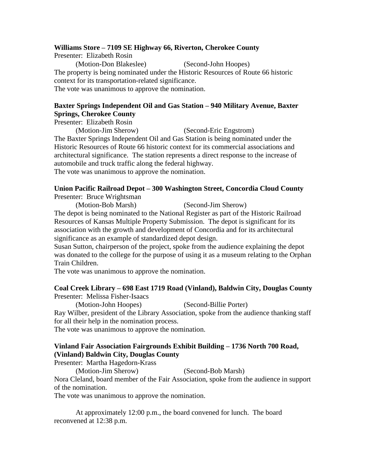## **Williams Store – 7109 SE Highway 66, Riverton, Cherokee County**

Presenter: Elizabeth Rosin (Motion-Don Blakeslee) (Second-John Hoopes) The property is being nominated under the Historic Resources of Route 66 historic context for its transportation-related significance. The vote was unanimous to approve the nomination.

# **Baxter Springs Independent Oil and Gas Station – 940 Military Avenue, Baxter Springs, Cherokee County**

Presenter: Elizabeth Rosin

(Motion-Jim Sherow) (Second-Eric Engstrom)

The Baxter Springs Independent Oil and Gas Station is being nominated under the Historic Resources of Route 66 historic context for its commercial associations and architectural significance. The station represents a direct response to the increase of automobile and truck traffic along the federal highway. The vote was unanimous to approve the nomination.

## **Union Pacific Railroad Depot – 300 Washington Street, Concordia Cloud County** Presenter: Bruce Wrightsman

(Motion-Bob Marsh) (Second-Jim Sherow)

The depot is being nominated to the National Register as part of the Historic Railroad Resources of Kansas Multiple Property Submission. The depot is significant for its association with the growth and development of Concordia and for its architectural significance as an example of standardized depot design.

Susan Sutton, chairperson of the project, spoke from the audience explaining the depot was donated to the college for the purpose of using it as a museum relating to the Orphan Train Children.

The vote was unanimous to approve the nomination.

## **Coal Creek Library – 698 East 1719 Road (Vinland), Baldwin City, Douglas County** Presenter: Melissa Fisher-Isaacs

(Motion-John Hoopes) (Second-Billie Porter)

Ray Wilber, president of the Library Association, spoke from the audience thanking staff for all their help in the nomination process.

The vote was unanimous to approve the nomination.

# **Vinland Fair Association Fairgrounds Exhibit Building – 1736 North 700 Road, (Vinland) Baldwin City, Douglas County**

Presenter: Martha Hagedorn-Krass

(Motion-Jim Sherow) (Second-Bob Marsh)

Nora Cleland, board member of the Fair Association, spoke from the audience in support of the nomination.

The vote was unanimous to approve the nomination.

At approximately 12:00 p.m., the board convened for lunch. The board reconvened at 12:38 p.m.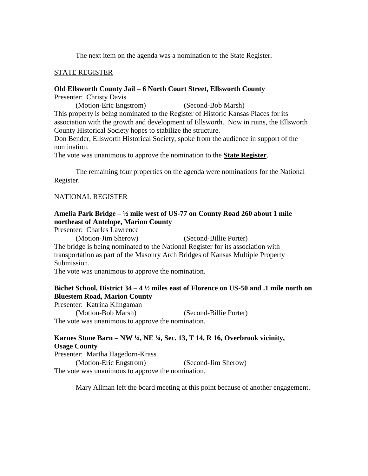The next item on the agenda was a nomination to the State Register.

## STATE REGISTER

## **Old Ellsworth County Jail – 6 North Court Street, Ellsworth County**

Presenter: Christy Davis

(Motion-Eric Engstrom) (Second-Bob Marsh) This property is being nominated to the Register of Historic Kansas Places for its association with the growth and development of Ellsworth. Now in ruins, the Ellsworth County Historical Society hopes to stabilize the structure.

Don Bender, Ellsworth Historical Society, spoke from the audience in support of the nomination.

The vote was unanimous to approve the nomination to the **State Register**.

The remaining four properties on the agenda were nominations for the National Register.

## NATIONAL REGISTER

## **Amelia Park Bridge – ½ mile west of US-77 on County Road 260 about 1 mile northeast of Antelope, Marion County**

Presenter: Charles Lawrence

(Motion-Jim Sherow) (Second-Billie Porter) The bridge is being nominated to the National Register for its association with transportation as part of the Masonry Arch Bridges of Kansas Multiple Property Submission.

The vote was unanimous to approve the nomination.

# **Bichet School, District 34 – 4 ½ miles east of Florence on US-50 and .1 mile north on Bluestem Road, Marion County**

Presenter: Katrina Klingaman (Motion-Bob Marsh) (Second-Billie Porter) The vote was unanimous to approve the nomination.

# **Karnes Stone Barn – NW ¼, NE ¼, Sec. 13, T 14, R 16, Overbrook vicinity, Osage County**

Presenter: Martha Hagedorn-Krass (Motion-Eric Engstrom) (Second-Jim Sherow) The vote was unanimous to approve the nomination.

Mary Allman left the board meeting at this point because of another engagement.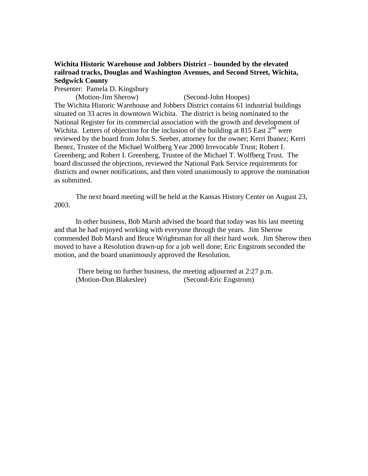# **Wichita Historic Warehouse and Jobbers District – bounded by the elevated railroad tracks, Douglas and Washington Avenues, and Second Street, Wichita, Sedgwick County**

Presenter: Pamela D. Kingsbury

(Motion-Jim Sherow) (Second-John Hoopes) The Wichita Historic Warehouse and Jobbers District contains 61 industrial buildings situated on 33 acres in downtown Wichita. The district is being nominated to the National Register for its commercial association with the growth and development of Wichita. Letters of objection for the inclusion of the building at 815 East  $2<sup>nd</sup>$  were reviewed by the board from John S. Seeber, attorney for the owner; Kerri Ibanez; Kerri Ibenez, Trustee of the Michael Wolfberg Year 2000 Irrevocable Trust; Robert I. Greenberg; and Robert I. Greenberg, Trustee of the Michael T. Wolfberg Trust. The board discussed the objections, reviewed the National Park Service requirements for districts and owner notifications, and then voted unanimously to approve the nomination as submitted.

The next board meeting will be held at the Kansas History Center on August 23, 2003.

In other business, Bob Marsh advised the board that today was his last meeting and that he had enjoyed working with everyone through the years. Jim Sherow commended Bob Marsh and Bruce Wrightsman for all their hard work. Jim Sherow then moved to have a Resolution drawn-up for a job well done; Eric Engstrom seconded the motion, and the board unanimously approved the Resolution.

There being no further business, the meeting adjourned at 2:27 p.m. (Motion-Don Blakeslee) (Second-Eric Engstrom)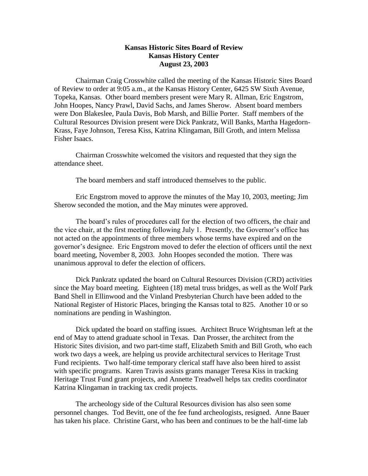## **Kansas Historic Sites Board of Review Kansas History Center August 23, 2003**

Chairman Craig Crosswhite called the meeting of the Kansas Historic Sites Board of Review to order at 9:05 a.m., at the Kansas History Center, 6425 SW Sixth Avenue, Topeka, Kansas. Other board members present were Mary R. Allman, Eric Engstrom, John Hoopes, Nancy Prawl, David Sachs, and James Sherow. Absent board members were Don Blakeslee, Paula Davis, Bob Marsh, and Billie Porter. Staff members of the Cultural Resources Division present were Dick Pankratz, Will Banks, Martha Hagedorn-Krass, Faye Johnson, Teresa Kiss, Katrina Klingaman, Bill Groth, and intern Melissa Fisher Isaacs.

Chairman Crosswhite welcomed the visitors and requested that they sign the attendance sheet.

The board members and staff introduced themselves to the public.

Eric Engstrom moved to approve the minutes of the May 10, 2003, meeting; Jim Sherow seconded the motion, and the May minutes were approved.

The board's rules of procedures call for the election of two officers, the chair and the vice chair, at the first meeting following July 1. Presently, the Governor's office has not acted on the appointments of three members whose terms have expired and on the governor's designee. Eric Engstrom moved to defer the election of officers until the next board meeting, November 8, 2003. John Hoopes seconded the motion. There was unanimous approval to defer the election of officers.

Dick Pankratz updated the board on Cultural Resources Division (CRD) activities since the May board meeting. Eighteen (18) metal truss bridges, as well as the Wolf Park Band Shell in Ellinwood and the Vinland Presbyterian Church have been added to the National Register of Historic Places, bringing the Kansas total to 825. Another 10 or so nominations are pending in Washington.

Dick updated the board on staffing issues. Architect Bruce Wrightsman left at the end of May to attend graduate school in Texas. Dan Prosser, the architect from the Historic Sites division, and two part-time staff, Elizabeth Smith and Bill Groth, who each work two days a week, are helping us provide architectural services to Heritage Trust Fund recipients. Two half-time temporary clerical staff have also been hired to assist with specific programs. Karen Travis assists grants manager Teresa Kiss in tracking Heritage Trust Fund grant projects, and Annette Treadwell helps tax credits coordinator Katrina Klingaman in tracking tax credit projects.

The archeology side of the Cultural Resources division has also seen some personnel changes. Tod Bevitt, one of the fee fund archeologists, resigned. Anne Bauer has taken his place. Christine Garst, who has been and continues to be the half-time lab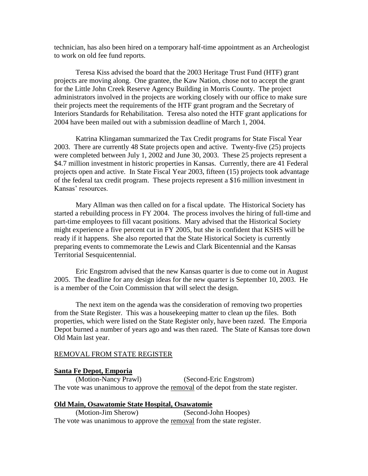technician, has also been hired on a temporary half-time appointment as an Archeologist to work on old fee fund reports.

Teresa Kiss advised the board that the 2003 Heritage Trust Fund (HTF) grant projects are moving along. One grantee, the Kaw Nation, chose not to accept the grant for the Little John Creek Reserve Agency Building in Morris County. The project administrators involved in the projects are working closely with our office to make sure their projects meet the requirements of the HTF grant program and the Secretary of Interiors Standards for Rehabilitation. Teresa also noted the HTF grant applications for 2004 have been mailed out with a submission deadline of March 1, 2004.

Katrina Klingaman summarized the Tax Credit programs for State Fiscal Year 2003. There are currently 48 State projects open and active. Twenty-five (25) projects were completed between July 1, 2002 and June 30, 2003. These 25 projects represent a \$4.7 million investment in historic properties in Kansas. Currently, there are 41 Federal projects open and active. In State Fiscal Year 2003, fifteen (15) projects took advantage of the federal tax credit program. These projects represent a \$16 million investment in Kansas' resources.

Mary Allman was then called on for a fiscal update. The Historical Society has started a rebuilding process in FY 2004. The process involves the hiring of full-time and part-time employees to fill vacant positions. Mary advised that the Historical Society might experience a five percent cut in FY 2005, but she is confident that KSHS will be ready if it happens. She also reported that the State Historical Society is currently preparing events to commemorate the Lewis and Clark Bicentennial and the Kansas Territorial Sesquicentennial.

Eric Engstrom advised that the new Kansas quarter is due to come out in August 2005. The deadline for any design ideas for the new quarter is September 10, 2003. He is a member of the Coin Commission that will select the design.

The next item on the agenda was the consideration of removing two properties from the State Register. This was a housekeeping matter to clean up the files. Both properties, which were listed on the State Register only, have been razed. The Emporia Depot burned a number of years ago and was then razed. The State of Kansas tore down Old Main last year.

#### REMOVAL FROM STATE REGISTER

## **Santa Fe Depot, Emporia**

(Motion-Nancy Prawl) (Second-Eric Engstrom) The vote was unanimous to approve the removal of the depot from the state register.

### **Old Main, Osawatomie State Hospital, Osawatomie**

(Motion-Jim Sherow) (Second-John Hoopes) The vote was unanimous to approve the removal from the state register.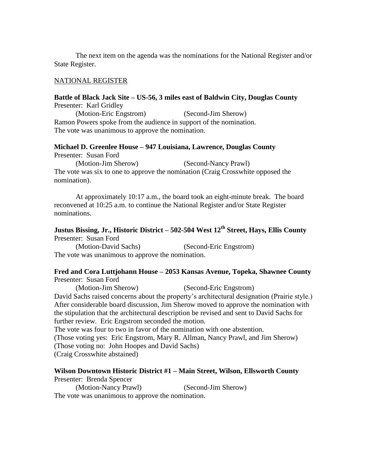The next item on the agenda was the nominations for the National Register and/or State Register.

### NATIONAL REGISTER

### **Battle of Black Jack Site – US-56, 3 miles east of Baldwin City, Douglas County** Presenter: Karl Gridley

(Motion-Eric Engstrom) (Second-Jim Sherow) Ramon Powers spoke from the audience in support of the nomination. The vote was unanimous to approve the nomination.

# **Michael D. Greenlee House – 947 Louisiana, Lawrence, Douglas County**

Presenter: Susan Ford

(Motion-Jim Sherow) (Second-Nancy Prawl) The vote was six to one to approve the nomination (Craig Crosswhite opposed the nomination).

At approximately 10:17 a.m., the board took an eight-minute break. The board reconvened at 10:25 a.m. to continue the National Register and/or State Register nominations.

# **Justus Bissing, Jr., Historic District – 502-504 West 12th Street, Hays, Ellis County** Presenter: Susan Ford

(Motion-David Sachs) (Second-Eric Engstrom) The vote was unanimous to approve the nomination.

#### **Fred and Cora Luttjohann House – 2053 Kansas Avenue, Topeka, Shawnee County** Presenter: Susan Ford

(Motion-Jim Sherow) (Second-Eric Engstrom) David Sachs raised concerns about the property's architectural designation (Prairie style.) After considerable board discussion, Jim Sherow moved to approve the nomination with the stipulation that the architectural description be revised and sent to David Sachs for further review. Eric Engstrom seconded the motion. The vote was four to two in favor of the nomination with one abstention.

(Those voting yes: Eric Engstrom, Mary R. Allman, Nancy Prawl, and Jim Sherow) (Those voting no: John Hoopes and David Sachs) (Craig Crosswhite abstained)

### **Wilson Downtown Historic District #1 – Main Street, Wilson, Ellsworth County**

Presenter: Brenda Spencer

(Motion-Nancy Prawl) (Second-Jim Sherow)

The vote was unanimous to approve the nomination.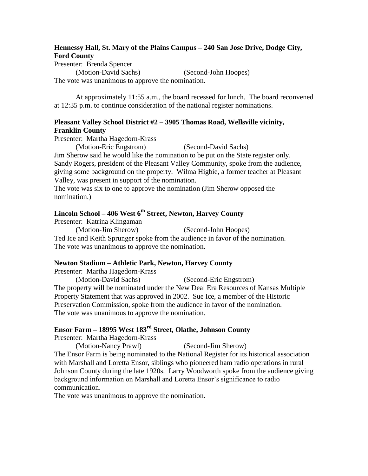# **Hennessy Hall, St. Mary of the Plains Campus – 240 San Jose Drive, Dodge City, Ford County**

Presenter: Brenda Spencer

(Motion-David Sachs) (Second-John Hoopes)

The vote was unanimous to approve the nomination.

At approximately 11:55 a.m., the board recessed for lunch. The board reconvened at 12:35 p.m. to continue consideration of the national register nominations.

# **Pleasant Valley School District #2 – 3905 Thomas Road, Wellsville vicinity, Franklin County**

Presenter: Martha Hagedorn-Krass

(Motion-Eric Engstrom) (Second-David Sachs)

Jim Sherow said he would like the nomination to be put on the State register only. Sandy Rogers, president of the Pleasant Valley Community, spoke from the audience, giving some background on the property. Wilma Higbie, a former teacher at Pleasant Valley, was present in support of the nomination.

The vote was six to one to approve the nomination (Jim Sherow opposed the nomination.)

# **Lincoln School – 406 West 6th Street, Newton, Harvey County**

Presenter: Katrina Klingaman (Motion-Jim Sherow) (Second-John Hoopes) Ted Ice and Keith Sprunger spoke from the audience in favor of the nomination. The vote was unanimous to approve the nomination.

# **Newton Stadium – Athletic Park, Newton, Harvey County**

Presenter: Martha Hagedorn-Krass

(Motion-David Sachs) (Second-Eric Engstrom) The property will be nominated under the New Deal Era Resources of Kansas Multiple Property Statement that was approved in 2002. Sue Ice, a member of the Historic Preservation Commission, spoke from the audience in favor of the nomination. The vote was unanimous to approve the nomination.

# **Ensor Farm – 18995 West 183rd Street, Olathe, Johnson County**

Presenter: Martha Hagedorn-Krass

(Motion-Nancy Prawl) (Second-Jim Sherow) The Ensor Farm is being nominated to the National Register for its historical association with Marshall and Loretta Ensor, siblings who pioneered ham radio operations in rural Johnson County during the late 1920s. Larry Woodworth spoke from the audience giving background information on Marshall and Loretta Ensor's significance to radio communication.

The vote was unanimous to approve the nomination.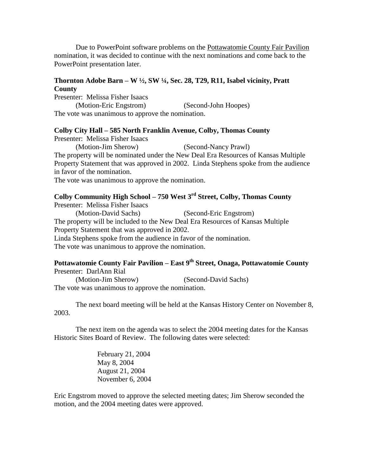Due to PowerPoint software problems on the Pottawatomie County Fair Pavilion nomination, it was decided to continue with the next nominations and come back to the PowerPoint presentation later.

# **Thornton Adobe Barn – W ½, SW ¼, Sec. 28, T29, R11, Isabel vicinity, Pratt County**

Presenter: Melissa Fisher Isaacs (Motion-Eric Engstrom) (Second-John Hoopes) The vote was unanimous to approve the nomination.

### **Colby City Hall – 585 North Franklin Avenue, Colby, Thomas County**

Presenter: Melissa Fisher Isaacs

(Motion-Jim Sherow) (Second-Nancy Prawl)

The property will be nominated under the New Deal Era Resources of Kansas Multiple Property Statement that was approved in 2002. Linda Stephens spoke from the audience in favor of the nomination.

The vote was unanimous to approve the nomination.

# **Colby Community High School – 750 West 3rd Street, Colby, Thomas County**

Presenter: Melissa Fisher Isaacs (Motion-David Sachs) (Second-Eric Engstrom) The property will be included to the New Deal Era Resources of Kansas Multiple Property Statement that was approved in 2002. Linda Stephens spoke from the audience in favor of the nomination. The vote was unanimous to approve the nomination.

## **Pottawatomie County Fair Pavilion – East 9th Street, Onaga, Pottawatomie County** Presenter: DarlAnn Rial

(Motion-Jim Sherow) (Second-David Sachs) The vote was unanimous to approve the nomination.

The next board meeting will be held at the Kansas History Center on November 8, 2003.

The next item on the agenda was to select the 2004 meeting dates for the Kansas Historic Sites Board of Review. The following dates were selected:

> February 21, 2004 May 8, 2004 August 21, 2004 November 6, 2004

Eric Engstrom moved to approve the selected meeting dates; Jim Sherow seconded the motion, and the 2004 meeting dates were approved.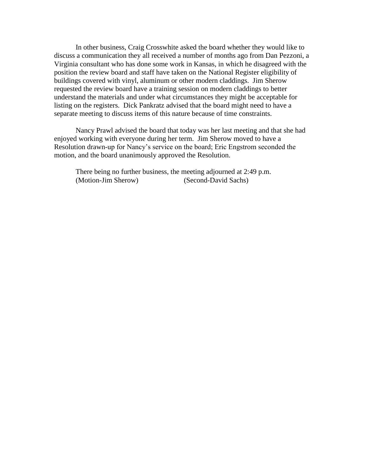In other business, Craig Crosswhite asked the board whether they would like to discuss a communication they all received a number of months ago from Dan Pezzoni, a Virginia consultant who has done some work in Kansas, in which he disagreed with the position the review board and staff have taken on the National Register eligibility of buildings covered with vinyl, aluminum or other modern claddings. Jim Sherow requested the review board have a training session on modern claddings to better understand the materials and under what circumstances they might be acceptable for listing on the registers. Dick Pankratz advised that the board might need to have a separate meeting to discuss items of this nature because of time constraints.

Nancy Prawl advised the board that today was her last meeting and that she had enjoyed working with everyone during her term. Jim Sherow moved to have a Resolution drawn-up for Nancy's service on the board; Eric Engstrom seconded the motion, and the board unanimously approved the Resolution.

There being no further business, the meeting adjourned at 2:49 p.m. (Motion-Jim Sherow) (Second-David Sachs)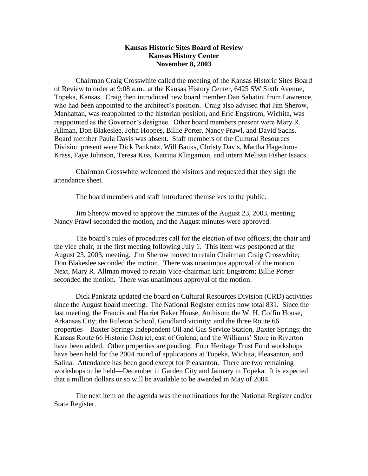## **Kansas Historic Sites Board of Review Kansas History Center November 8, 2003**

Chairman Craig Crosswhite called the meeting of the Kansas Historic Sites Board of Review to order at 9:08 a.m., at the Kansas History Center, 6425 SW Sixth Avenue, Topeka, Kansas. Craig then introduced new board member Dan Sabatini from Lawrence, who had been appointed to the architect's position. Craig also advised that Jim Sherow, Manhattan, was reappointed to the historian position, and Eric Engstrom, Wichita, was reappointed as the Governor's designee. Other board members present were Mary R. Allman, Don Blakeslee, John Hoopes, Billie Porter, Nancy Prawl, and David Sachs. Board member Paula Davis was absent. Staff members of the Cultural Resources Division present were Dick Pankratz, Will Banks, Christy Davis, Martha Hagedorn-Krass, Faye Johnson, Teresa Kiss, Katrina Klingaman, and intern Melissa Fisher Isaacs.

Chairman Crosswhite welcomed the visitors and requested that they sign the attendance sheet.

The board members and staff introduced themselves to the public.

Jim Sherow moved to approve the minutes of the August 23, 2003, meeting; Nancy Prawl seconded the motion, and the August minutes were approved.

The board's rules of procedures call for the election of two officers, the chair and the vice chair, at the first meeting following July 1. This item was postponed at the August 23, 2003, meeting. Jim Sherow moved to retain Chairman Craig Crosswhite; Don Blakeslee seconded the motion. There was unanimous approval of the motion. Next, Mary R. Allman moved to retain Vice-chairman Eric Engstrom; Billie Porter seconded the motion. There was unanimous approval of the motion.

Dick Pankratz updated the board on Cultural Resources Division (CRD) activities since the August board meeting. The National Register entries now total 831. Since the last meeting, the Francis and Harriet Baker House, Atchison; the W. H. Coffin House, Arkansas City; the Ruleton School, Goodland vicinity; and the three Route 66 properties—Baxter Springs Independent Oil and Gas Service Station, Baxter Springs; the Kansas Route 66 Historic District, east of Galena; and the Williams' Store in Riverton have been added. Other properties are pending. Four Heritage Trust Fund workshops have been held for the 2004 round of applications at Topeka, Wichita, Pleasanton, and Salina. Attendance has been good except for Pleasanton. There are two remaining workshops to be held—December in Garden City and January in Topeka. It is expected that a million dollars or so will be available to be awarded in May of 2004.

The next item on the agenda was the nominations for the National Register and/or State Register.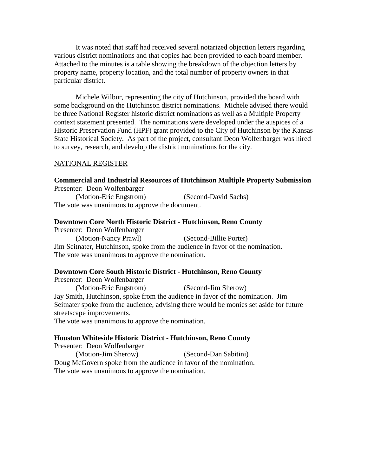It was noted that staff had received several notarized objection letters regarding various district nominations and that copies had been provided to each board member. Attached to the minutes is a table showing the breakdown of the objection letters by property name, property location, and the total number of property owners in that particular district.

Michele Wilbur, representing the city of Hutchinson, provided the board with some background on the Hutchinson district nominations. Michele advised there would be three National Register historic district nominations as well as a Multiple Property context statement presented. The nominations were developed under the auspices of a Historic Preservation Fund (HPF) grant provided to the City of Hutchinson by the Kansas State Historical Society. As part of the project, consultant Deon Wolfenbarger was hired to survey, research, and develop the district nominations for the city.

### NATIONAL REGISTER

### **Commercial and Industrial Resources of Hutchinson Multiple Property Submission** Presenter: Deon Wolfenbarger

(Motion-Eric Engstrom) (Second-David Sachs) The vote was unanimous to approve the document.

#### **Downtown Core North Historic District - Hutchinson, Reno County**

Presenter: Deon Wolfenbarger

(Motion-Nancy Prawl) (Second-Billie Porter) Jim Seitnater, Hutchinson, spoke from the audience in favor of the nomination. The vote was unanimous to approve the nomination.

### **Downtown Core South Historic District - Hutchinson, Reno County**

Presenter: Deon Wolfenbarger

(Motion-Eric Engstrom) (Second-Jim Sherow) Jay Smith, Hutchinson, spoke from the audience in favor of the nomination. Jim Seitnater spoke from the audience, advising there would be monies set aside for future streetscape improvements.

The vote was unanimous to approve the nomination.

#### **Houston Whiteside Historic District - Hutchinson, Reno County**

Presenter: Deon Wolfenbarger (Motion-Jim Sherow) (Second-Dan Sabitini) Doug McGovern spoke from the audience in favor of the nomination. The vote was unanimous to approve the nomination.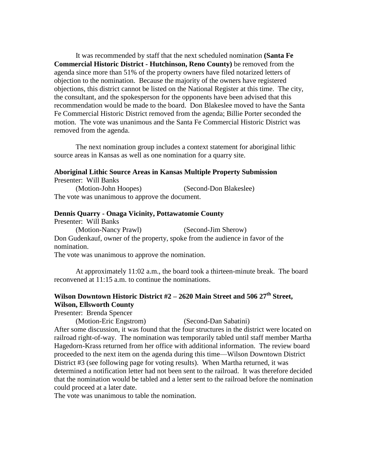It was recommended by staff that the next scheduled nomination **(Santa Fe Commercial Historic District - Hutchinson, Reno County)** be removed from the agenda since more than 51% of the property owners have filed notarized letters of objection to the nomination. Because the majority of the owners have registered objections, this district cannot be listed on the National Register at this time. The city, the consultant, and the spokesperson for the opponents have been advised that this recommendation would be made to the board. Don Blakeslee moved to have the Santa Fe Commercial Historic District removed from the agenda; Billie Porter seconded the motion. The vote was unanimous and the Santa Fe Commercial Historic District was removed from the agenda.

The next nomination group includes a context statement for aboriginal lithic source areas in Kansas as well as one nomination for a quarry site.

#### **Aboriginal Lithic Source Areas in Kansas Multiple Property Submission** Presenter: Will Banks

(Motion-John Hoopes) (Second-Don Blakeslee) The vote was unanimous to approve the document.

### **Dennis Quarry - Onaga Vicinity, Pottawatomie County**

Presenter: Will Banks (Motion-Nancy Prawl) (Second-Jim Sherow) Don Gudenkauf, owner of the property, spoke from the audience in favor of the nomination.

The vote was unanimous to approve the nomination.

At approximately 11:02 a.m., the board took a thirteen-minute break. The board reconvened at 11:15 a.m. to continue the nominations.

# **Wilson Downtown Historic District #2 – 2620 Main Street and 506 27th Street, Wilson, Ellsworth County**

Presenter: Brenda Spencer

(Motion-Eric Engstrom) (Second-Dan Sabatini) After some discussion, it was found that the four structures in the district were located on railroad right-of-way. The nomination was temporarily tabled until staff member Martha Hagedorn-Krass returned from her office with additional information. The review board proceeded to the next item on the agenda during this time—Wilson Downtown District District #3 (see following page for voting results). When Martha returned, it was determined a notification letter had not been sent to the railroad. It was therefore decided that the nomination would be tabled and a letter sent to the railroad before the nomination could proceed at a later date.

The vote was unanimous to table the nomination.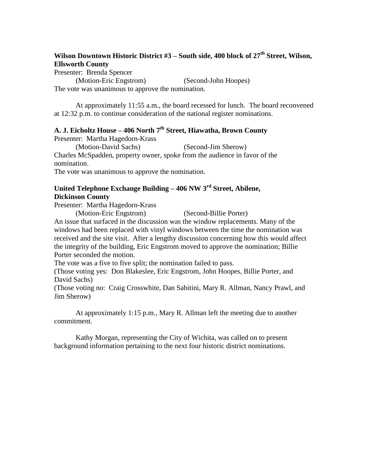# **Wilson Downtown Historic District #3 – South side, 400 block of 27th Street, Wilson, Ellsworth County**

Presenter: Brenda Spencer

(Motion-Eric Engstrom) (Second-John Hoopes) The vote was unanimous to approve the nomination.

At approximately 11:55 a.m., the board recessed for lunch. The board reconvened at 12:32 p.m. to continue consideration of the national register nominations.

# **A. J. Eicholtz House – 406 North 7th Street, Hiawatha, Brown County**

Presenter: Martha Hagedorn-Krass

(Motion-David Sachs) (Second-Jim Sherow)

Charles McSpadden, property owner, spoke from the audience in favor of the nomination.

The vote was unanimous to approve the nomination.

# **United Telephone Exchange Building – 406 NW 3rd Street, Abilene, Dickinson County**

Presenter: Martha Hagedorn-Krass

(Motion-Eric Engstrom) (Second-Billie Porter)

An issue that surfaced in the discussion was the window replacements. Many of the windows had been replaced with vinyl windows between the time the nomination was received and the site visit. After a lengthy discussion concerning how this would affect the integrity of the building, Eric Engstrom moved to approve the nomination; Billie Porter seconded the motion.

The vote was a five to five split; the nomination failed to pass.

(Those voting yes: Don Blakeslee, Eric Engstrom, John Hoopes, Billie Porter, and David Sachs)

(Those voting no: Craig Crosswhite, Dan Sabitini, Mary R. Allman, Nancy Prawl, and Jim Sherow)

At approximately 1:15 p.m., Mary R. Allman left the meeting due to another commitment.

Kathy Morgan, representing the City of Wichita, was called on to present background information pertaining to the next four historic district nominations.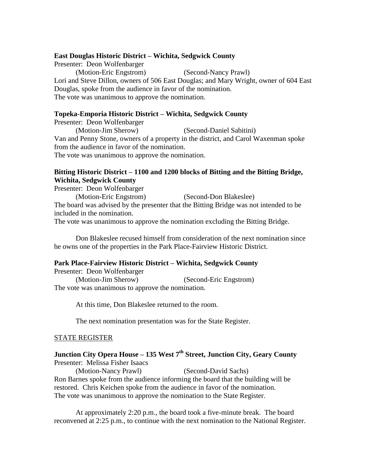## **East Douglas Historic District – Wichita, Sedgwick County**

Presenter: Deon Wolfenbarger (Motion-Eric Engstrom) (Second-Nancy Prawl) Lori and Steve Dillon, owners of 506 East Douglas; and Mary Wright, owner of 604 East Douglas, spoke from the audience in favor of the nomination. The vote was unanimous to approve the nomination.

## **Topeka-Emporia Historic District – Wichita, Sedgwick County**

Presenter: Deon Wolfenbarger (Motion-Jim Sherow) (Second-Daniel Sabitini) Van and Penny Stone, owners of a property in the district, and Carol Waxenman spoke from the audience in favor of the nomination. The vote was unanimous to approve the nomination.

## **Bitting Historic District – 1100 and 1200 blocks of Bitting and the Bitting Bridge, Wichita, Sedgwick County**

Presenter: Deon Wolfenbarger

(Motion-Eric Engstrom) (Second-Don Blakeslee) The board was advised by the presenter that the Bitting Bridge was not intended to be included in the nomination.

The vote was unanimous to approve the nomination excluding the Bitting Bridge.

Don Blakeslee recused himself from consideration of the next nomination since he owns one of the properties in the Park Place-Fairview Historic District.

## **Park Place-Fairview Historic District – Wichita, Sedgwick County**

Presenter: Deon Wolfenbarger (Motion-Jim Sherow) (Second-Eric Engstrom) The vote was unanimous to approve the nomination.

At this time, Don Blakeslee returned to the room.

The next nomination presentation was for the State Register.

## STATE REGISTER

# **Junction City Opera House – 135 West 7th Street, Junction City, Geary County** Presenter: Melissa Fisher Isaacs

(Motion-Nancy Prawl) (Second-David Sachs) Ron Barnes spoke from the audience informing the board that the building will be restored. Chris Keichen spoke from the audience in favor of the nomination. The vote was unanimous to approve the nomination to the State Register.

At approximately 2:20 p.m., the board took a five-minute break. The board reconvened at 2:25 p.m., to continue with the next nomination to the National Register.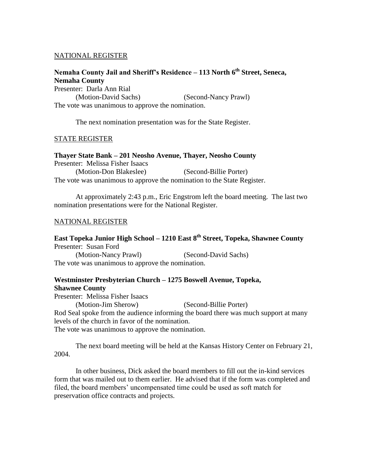## NATIONAL REGISTER

# **Nemaha County Jail and Sheriff's Residence – 113 North 6th Street, Seneca, Nemaha County**

Presenter: Darla Ann Rial (Motion-David Sachs) (Second-Nancy Prawl) The vote was unanimous to approve the nomination.

The next nomination presentation was for the State Register.

## STATE REGISTER

**Thayer State Bank – 201 Neosho Avenue, Thayer, Neosho County** Presenter: Melissa Fisher Isaacs (Motion-Don Blakeslee) (Second-Billie Porter) The vote was unanimous to approve the nomination to the State Register.

At approximately 2:43 p.m., Eric Engstrom left the board meeting. The last two nomination presentations were for the National Register.

## NATIONAL REGISTER

# **East Topeka Junior High School – 1210 East 8th Street, Topeka, Shawnee County** Presenter: Susan Ford

(Motion-Nancy Prawl) (Second-David Sachs) The vote was unanimous to approve the nomination.

# **Westminster Presbyterian Church – 1275 Boswell Avenue, Topeka, Shawnee County**

Presenter: Melissa Fisher Isaacs

(Motion-Jim Sherow) (Second-Billie Porter)

Rod Seal spoke from the audience informing the board there was much support at many levels of the church in favor of the nomination.

The vote was unanimous to approve the nomination.

The next board meeting will be held at the Kansas History Center on February 21, 2004.

In other business, Dick asked the board members to fill out the in-kind services form that was mailed out to them earlier. He advised that if the form was completed and filed, the board members' uncompensated time could be used as soft match for preservation office contracts and projects.